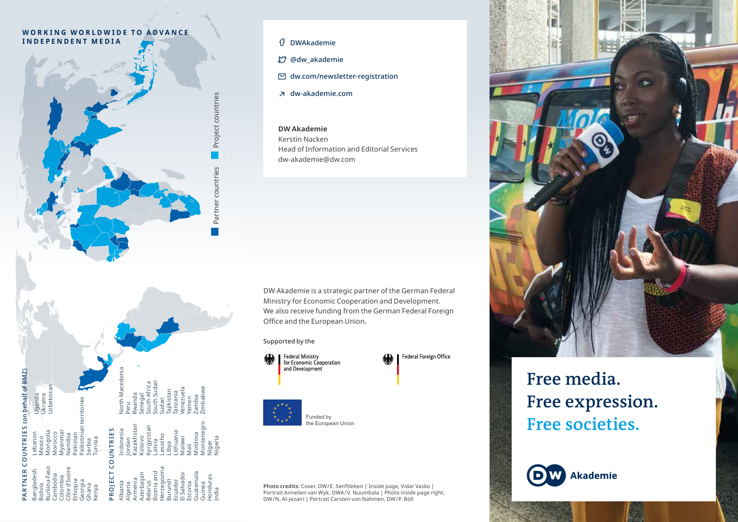### WORKING WORLDWIDE TO ADVANCE **INDEPENDENT MEDIA**



Partner countries Project countries

countries

Partner

Project countries

Belarus Bosnia and Herzegovina Burundi Ecuador Estonia El Salvador Guatemala Guinea Honduras India

Kyrgyzstan Latvia Lesotho Libya Lithuania Malawi Mali Moldova Montenegro Niger Nigeria

South Africa South Sudan Sudan Tajikistan Tanzania Venezuela Yemen Zambia Zimbabwe

## DWAkademie

@dw\_akademie

- $\boxdot$  dw.com/newsletter-registration
- dw-akademie.com

### **DW Akademie**

Kerstin Nacken Head of Information and Editorial Services dw-akademie@dw.com

DW Akademie is a strategic partner of the German Federal Ministry for Economic Cooperation and Development. We also receive funding from the German Federal Foreign Office and the European Union.

#### Supported by the

Federal Ministry<br>for Economic Cooperation and Development

Federal Foreign Office



Funded by the European Union

## **Photo credits:** Cover, DW/E. Senftleben | Inside page, Vidar Vasko |<br>Portrait Annelien van Wyk, DWA/V. Nuumbala | Photo inside page right,<br>DW/N. Al-Jezairi | Portrait Carsten von Nahmen, DW/P. Böll



# **Free media. Free expression. Free societies.**

**Akademie** 

# ehalf of BMZ)

| Uzbekistan              | Burkina Faso              | Mongolia          | PARTNER COUNTRIES (on behalf of BMZ) |
|-------------------------|---------------------------|-------------------|--------------------------------------|
|                         | Bangladesh                | Lebanon           | Uganda                               |
|                         | Bolivia                   | Mexico            | Ukraine                              |
|                         | Georgia<br>Ghana<br>Kenya | Tunisia<br>Serbia |                                      |
| Palestinian territories |                           |                   |                                      |
| PROJECT COUNTRIES       | Albania                   | Indonesia         | North Macedonia                      |
|                         | Algeria                   | Iordan            | Peru                                 |
|                         | Azerbaijan                | Kazakhstan        | Rwanda                               |
|                         | Armenia                   | <b>Kosovo</b>     | Senegal                              |